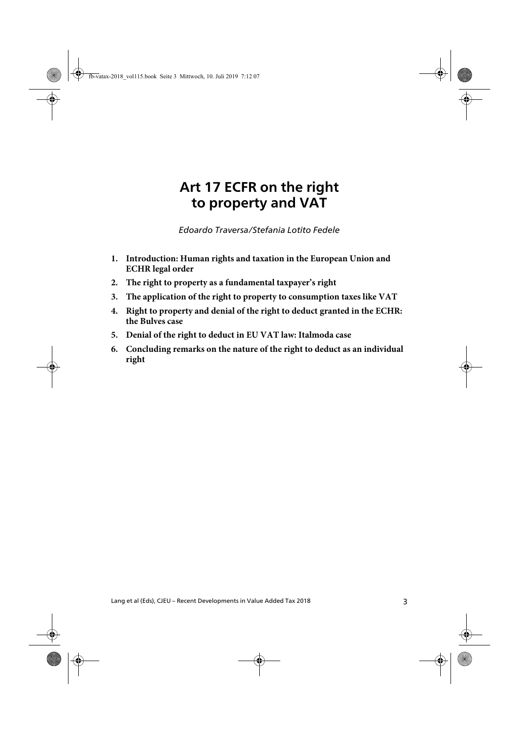# **Art 17 ECFR on the right to property and VAT**

Art 17 ECFR on the right to property and VAT Traversa/Fedele *Edoardo Traversa/Stefania Lotito Fedele*

- **1. Introduction: Human rights and taxation in the European Union and ECHR legal order**
- **2. The right to property as a fundamental taxpayer's right**
- **3. The application of the right to property to consumption taxes like VAT**
- **4. Right to property and denial of the right to deduct granted in the ECHR: the Bulves case**
- **5. Denial of the right to deduct in EU VAT law: Italmoda case**
- **6. Concluding remarks on the nature of the right to deduct as an individual right**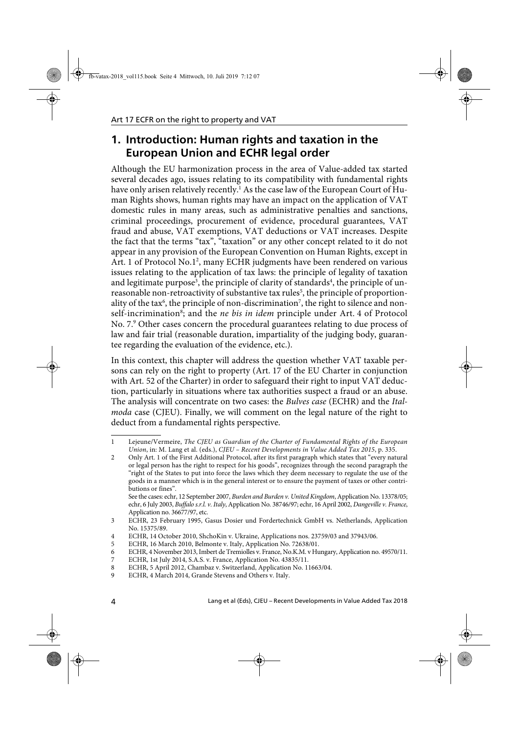## **1. Introduction: Human rights and taxation in the European Union and ECHR legal order**

Although the EU harmonization process in the area of Value-added tax started several decades ago, issues relating to its compatibility with fundamental rights have only arisen relatively recently.<sup>1</sup> As the case law of the European Court of Human Rights shows, human rights may have an impact on the application of VAT domestic rules in many areas, such as administrative penalties and sanctions, criminal proceedings, procurement of evidence, procedural guarantees, VAT fraud and abuse, VAT exemptions, VAT deductions or VAT increases. Despite the fact that the terms "tax", "taxation" or any other concept related to it do not appear in any provision of the European Convention on Human Rights, except in Art. 1 of Protocol No.1<sup>2</sup>, many ECHR judgments have been rendered on various issues relating to the application of tax laws: the principle of legality of taxation and legitimate purpose<sup>3</sup>, the principle of clarity of standards<sup>4</sup>, the principle of unreasonable non-retroactivity of substantive tax rules<sup>5</sup>, the principle of proportionality of the tax<sup>6</sup>, the principle of non-discrimination<sup>7</sup>, the right to silence and nonself-incrimination<sup>8</sup>; and the ne bis in idem principle under Art. 4 of Protocol No. 7.<sup>9</sup> Other cases concern the procedural guarantees relating to due process of law and fair trial (reasonable duration, impartiality of the judging body, guarantee regarding the evaluation of the evidence, etc.).

In this context, this chapter will address the question whether VAT taxable persons can rely on the right to property (Art. 17 of the EU Charter in conjunction with Art. 52 of the Charter) in order to safeguard their right to input VAT deduction, particularly in situations where tax authorities suspect a fraud or an abuse. The analysis will concentrate on two cases: the Bulves case (ECHR) and the Italmoda case (CJEU). Finally, we will comment on the legal nature of the right to deduct from a fundamental rights perspective.

<sup>1</sup> Lejeune/Vermeire, The CJEU as Guardian of the Charter of Fundamental Rights of the European Union, in: M. Lang et al. (eds.), CJEU – Recent Developments in Value Added Tax 2015, p. 335.

<sup>2</sup> Only Art. 1 of the First Additional Protocol, after its first paragraph which states that "every natural or legal person has the right to respect for his goods", recognizes through the second paragraph the "right of the States to put into force the laws which they deem necessary to regulate the use of the goods in a manner which is in the general interest or to ensure the payment of taxes or other contributions or fines".

See the cases: echr, 12 September 2007, Burden and Burden v. United Kingdom, Application No. 13378/05; echr, 6 July 2003, Buffalo s.r.l. v. Italy, Application No. 38746/97; echr, 16 April 2002, Dangeville v. France, Application no. 36677/97, etc.

<sup>3</sup> ECHR, 23 February 1995, Gasus Dosier und Fordertechnick GmbH vs. Netherlands, Application No. 15375/89.

<sup>4</sup> ECHR, 14 October 2010, ShchoKin v. Ukraine, Applications nos. 23759/03 and 37943/06.

<sup>5</sup> ECHR, 16 March 2010, Belmonte v. Italy, Application No. 72638/01.

<sup>6</sup> ECHR, 4 November 2013, Imbert de Tremiolles v. France, No.K.M. v Hungary, Application no. 49570/11.

<sup>7</sup> ECHR, 1st July 2014, S.A.S. v. France, Application No. 43835/11.

<sup>8</sup> ECHR, 5 April 2012, Chambaz v. Switzerland, Application No. 11663/04.

<sup>9</sup> ECHR, 4 March 2014, Grande Stevens and Others v. Italy.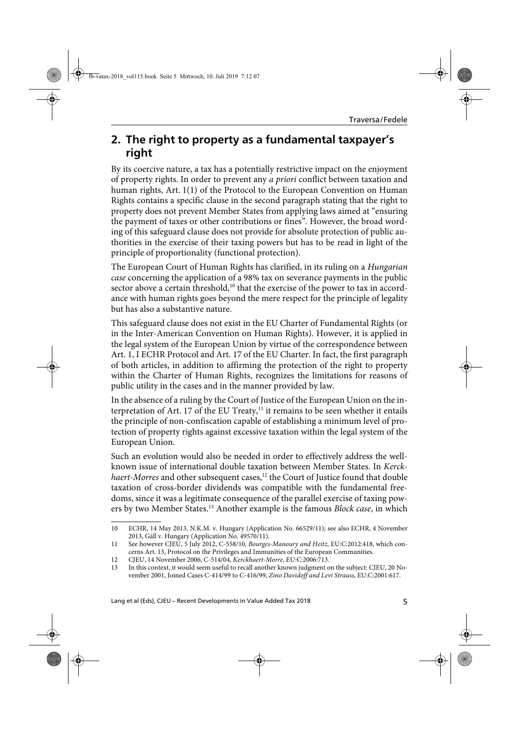### **2. The right to property as a fundamental taxpayer's right**

By its coercive nature, a tax has a potentially restrictive impact on the enjoyment of property rights. In order to prevent any a priori conflict between taxation and human rights, Art. 1(1) of the Protocol to the European Convention on Human Rights contains a specific clause in the second paragraph stating that the right to property does not prevent Member States from applying laws aimed at "ensuring the payment of taxes or other contributions or fines". However, the broad wording of this safeguard clause does not provide for absolute protection of public authorities in the exercise of their taxing powers but has to be read in light of the principle of proportionality (functional protection).

The European Court of Human Rights has clarified, in its ruling on a Hungarian case concerning the application of a 98% tax on severance payments in the public sector above a certain threshold,<sup>10</sup> that the exercise of the power to tax in accordance with human rights goes beyond the mere respect for the principle of legality but has also a substantive nature.

This safeguard clause does not exist in the EU Charter of Fundamental Rights (or in the Inter-American Convention on Human Rights). However, it is applied in the legal system of the European Union by virtue of the correspondence between Art. 1, I ECHR Protocol and Art. 17 of the EU Charter. In fact, the first paragraph of both articles, in addition to affirming the protection of the right to property within the Charter of Human Rights, recognizes the limitations for reasons of public utility in the cases and in the manner provided by law.

In the absence of a ruling by the Court of Justice of the European Union on the interpretation of Art. 17 of the EU Treaty, $<sup>11</sup>$  it remains to be seen whether it entails</sup> the principle of non-confiscation capable of establishing a minimum level of protection of property rights against excessive taxation within the legal system of the European Union.

Such an evolution would also be needed in order to effectively address the wellknown issue of international double taxation between Member States. In Kerckhaert-Morres and other subsequent cases,<sup>12</sup> the Court of Justice found that double taxation of cross-border dividends was compatible with the fundamental freedoms, since it was a legitimate consequence of the parallel exercise of taxing powers by two Member States.<sup>13</sup> Another example is the famous *Block case*, in which

Lang et al (Eds), CJEU – Recent Developments in Value Added Tax 2018 5

<sup>10</sup> ECHR, 14 May 2013, N.K.M. v. Hungary (Application No. 66529/11); see also ECHR, 4 November 2013, Gáll v. Hungary (Application No. 49570/11).

<sup>11</sup> See however CJEU, 5 July 2012, C-558/10, Bourges-Manoury and Heitz, EU:C:2012:418, which concerns Art. 13, Protocol on the Privileges and Immunities of the European Communities.

<sup>12</sup> CJEU, 14 November 2006, C-514/04, Kerckhaert-Morre, EU:C:2006:713.

<sup>13</sup> In this context, it would seem useful to recall another known judgment on the subject: CJEU, 20 November 2001, Joined Cases C-414/99 to C-416/99, Zino Davidoff and Levi Strauss, EU:C:2001:617.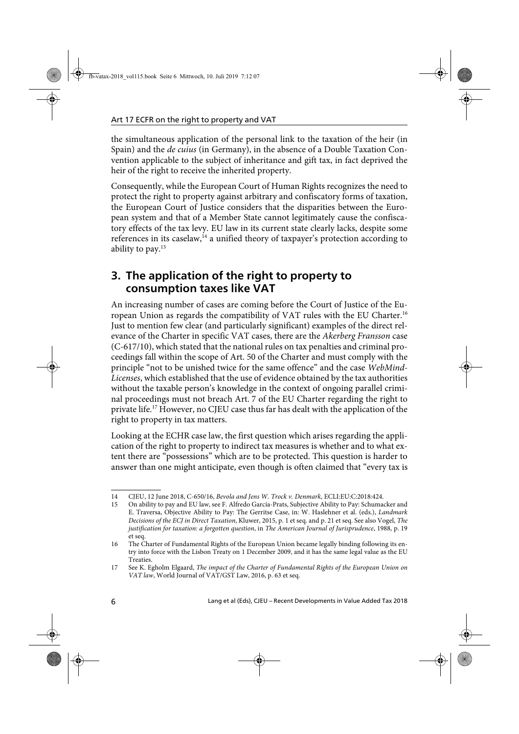the simultaneous application of the personal link to the taxation of the heir (in Spain) and the *de cuius* (in Germany), in the absence of a Double Taxation Convention applicable to the subject of inheritance and gift tax, in fact deprived the heir of the right to receive the inherited property.

Consequently, while the European Court of Human Rights recognizes the need to protect the right to property against arbitrary and confiscatory forms of taxation, the European Court of Justice considers that the disparities between the European system and that of a Member State cannot legitimately cause the confiscatory effects of the tax levy. EU law in its current state clearly lacks, despite some references in its caselaw,<sup>14</sup> a unified theory of taxpayer's protection according to ability to pay.<sup>15</sup>

### **3. The application of the right to property to consumption taxes like VAT**

An increasing number of cases are coming before the Court of Justice of the European Union as regards the compatibility of VAT rules with the EU Charter.16 Just to mention few clear (and particularly significant) examples of the direct relevance of the Charter in specific VAT cases, there are the Akerberg Fransson case (C-617/10), which stated that the national rules on tax penalties and criminal proceedings fall within the scope of Art. 50 of the Charter and must comply with the principle "not to be unished twice for the same offence" and the case WebMind-Licenses, which established that the use of evidence obtained by the tax authorities without the taxable person's knowledge in the context of ongoing parallel criminal proceedings must not breach Art. 7 of the EU Charter regarding the right to private life.17 However, no CJEU case thus far has dealt with the application of the right to property in tax matters.

Looking at the ECHR case law, the first question which arises regarding the application of the right to property to indirect tax measures is whether and to what extent there are "possessions" which are to be protected. This question is harder to answer than one might anticipate, even though is often claimed that "every tax is

<sup>14</sup> CJEU, 12 June 2018, C-650/16, Bevola and Jens W. Trock v. Denmark, ECLI:EU:C:2018:424.

<sup>15</sup> On ability to pay and EU law, see F. Alfredo García-Prats, Subjective Ability to Pay: Schumacker and E. Traversa, Objective Ability to Pay: The Gerritse Case, in: W. Haslehner et al. (eds.), Landmark Decisions of the ECJ in Direct Taxation, Kluwer, 2015, p. 1 et seq. and p. 21 et seq. See also Vogel, The justification for taxation: a forgotten question, in The American Journal of Jurisprudence, 1988, p. 19 et seq.

<sup>16</sup> The Charter of Fundamental Rights of the European Union became legally binding following its entry into force with the Lisbon Treaty on 1 December 2009, and it has the same legal value as the EU Treaties.

<sup>17</sup> See K. Egholm Elgaard, The impact of the Charter of Fundamental Rights of the European Union on VAT law, World Journal of VAT/GST Law, 2016, p. 63 et seq.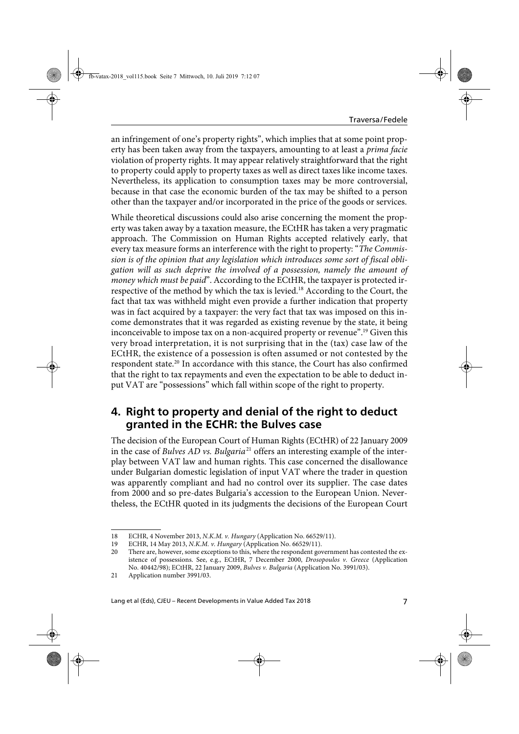an infringement of one's property rights", which implies that at some point property has been taken away from the taxpayers, amounting to at least a *prima facie* violation of property rights. It may appear relatively straightforward that the right to property could apply to property taxes as well as direct taxes like income taxes. Nevertheless, its application to consumption taxes may be more controversial, because in that case the economic burden of the tax may be shifted to a person other than the taxpayer and/or incorporated in the price of the goods or services.

While theoretical discussions could also arise concerning the moment the property was taken away by a taxation measure, the ECtHR has taken a very pragmatic approach. The Commission on Human Rights accepted relatively early, that every tax measure forms an interference with the right to property: "The Commission is of the opinion that any legislation which introduces some sort of fiscal obligation will as such deprive the involved of a possession, namely the amount of money which must be paid". According to the ECtHR, the taxpayer is protected irrespective of the method by which the tax is levied.18 According to the Court, the fact that tax was withheld might even provide a further indication that property was in fact acquired by a taxpayer: the very fact that tax was imposed on this income demonstrates that it was regarded as existing revenue by the state, it being inconceivable to impose tax on a non-acquired property or revenue".<sup>19</sup> Given this very broad interpretation, it is not surprising that in the (tax) case law of the ECtHR, the existence of a possession is often assumed or not contested by the respondent state.<sup>20</sup> In accordance with this stance, the Court has also confirmed that the right to tax repayments and even the expectation to be able to deduct input VAT are "possessions" which fall within scope of the right to property.

#### **4. Right to property and denial of the right to deduct granted in the ECHR: the Bulves case**

The decision of the European Court of Human Rights (ECtHR) of 22 January 2009 in the case of Bulves AD vs. Bulgaria<sup>21</sup> offers an interesting example of the interplay between VAT law and human rights. This case concerned the disallowance under Bulgarian domestic legislation of input VAT where the trader in question was apparently compliant and had no control over its supplier. The case dates from 2000 and so pre-dates Bulgaria's accession to the European Union. Nevertheless, the ECtHR quoted in its judgments the decisions of the European Court

<sup>18</sup> ECHR, 4 November 2013, N.K.M. v. Hungary (Application No. 66529/11).

<sup>19</sup> ECHR, 14 May 2013, N.K.M. v. Hungary (Application No. 66529/11).

<sup>20</sup> There are, however, some exceptions to this, where the respondent government has contested the existence of possessions. See, e.g., ECtHR, 7 December 2000, Drosopoulos v. Greece (Application No. 40442/98); ECtHR, 22 January 2009, Bulves v. Bulgaria (Application No. 3991/03).

<sup>21</sup> Application number 3991/03.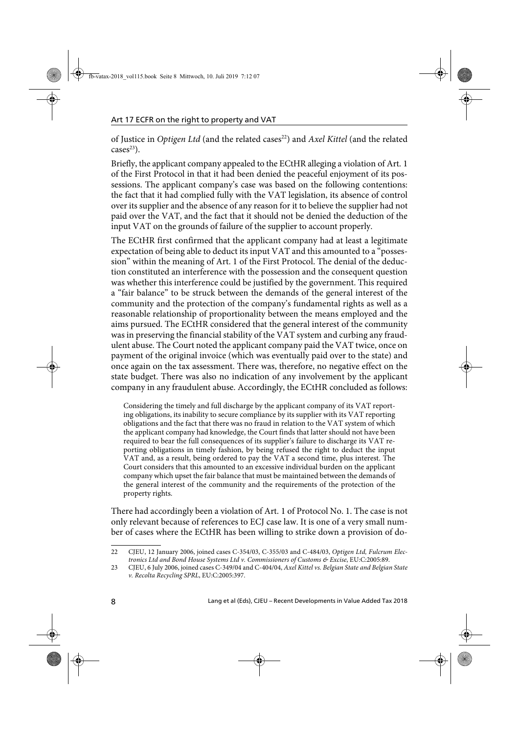of Justice in Optigen Ltd (and the related cases<sup>22</sup>) and Axel Kittel (and the related  $cases^{23}$ ).

Briefly, the applicant company appealed to the ECtHR alleging a violation of Art. 1 of the First Protocol in that it had been denied the peaceful enjoyment of its possessions. The applicant company's case was based on the following contentions: the fact that it had complied fully with the VAT legislation, its absence of control over its supplier and the absence of any reason for it to believe the supplier had not paid over the VAT, and the fact that it should not be denied the deduction of the input VAT on the grounds of failure of the supplier to account properly.

The ECtHR first confirmed that the applicant company had at least a legitimate expectation of being able to deduct its input VAT and this amounted to a "possession" within the meaning of Art. 1 of the First Protocol. The denial of the deduction constituted an interference with the possession and the consequent question was whether this interference could be justified by the government. This required a "fair balance" to be struck between the demands of the general interest of the community and the protection of the company's fundamental rights as well as a reasonable relationship of proportionality between the means employed and the aims pursued. The ECtHR considered that the general interest of the community was in preserving the financial stability of the VAT system and curbing any fraudulent abuse. The Court noted the applicant company paid the VAT twice, once on payment of the original invoice (which was eventually paid over to the state) and once again on the tax assessment. There was, therefore, no negative effect on the state budget. There was also no indication of any involvement by the applicant company in any fraudulent abuse. Accordingly, the ECtHR concluded as follows:

Considering the timely and full discharge by the applicant company of its VAT reporting obligations, its inability to secure compliance by its supplier with its VAT reporting obligations and the fact that there was no fraud in relation to the VAT system of which the applicant company had knowledge, the Court finds that latter should not have been required to bear the full consequences of its supplier's failure to discharge its VAT reporting obligations in timely fashion, by being refused the right to deduct the input VAT and, as a result, being ordered to pay the VAT a second time, plus interest. The Court considers that this amounted to an excessive individual burden on the applicant company which upset the fair balance that must be maintained between the demands of the general interest of the community and the requirements of the protection of the property rights.

There had accordingly been a violation of Art. 1 of Protocol No. 1. The case is not only relevant because of references to ECJ case law. It is one of a very small number of cases where the ECtHR has been willing to strike down a provision of do-

<sup>22</sup> CJEU, 12 January 2006, joined cases C-354/03, C-355/03 and C-484/03, Optigen Ltd, Fulcrum Electronics Ltd and Bond House Systems Ltd v. Commissioners of Customs & Excise, EU:C:2005:89.

<sup>23</sup> CJEU, 6 July 2006, joined cases C-349/04 and C-404/04, Axel Kittel vs. Belgian State and Belgian State v. Recolta Recycling SPRL, EU:C:2005:397.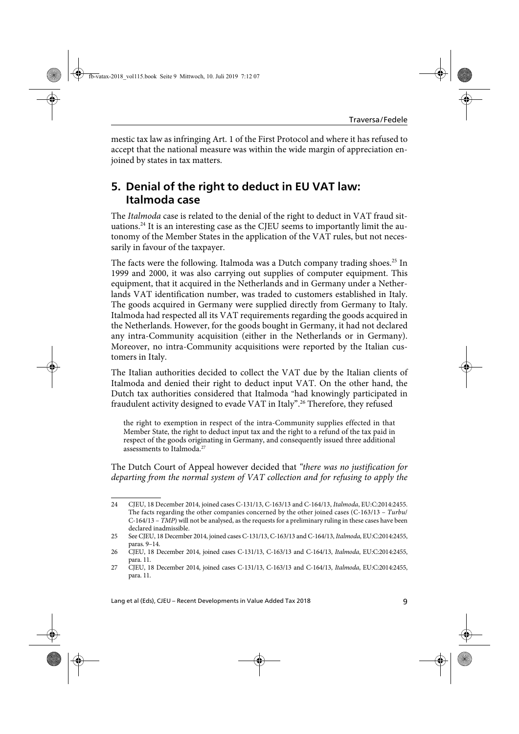mestic tax law as infringing Art. 1 of the First Protocol and where it has refused to accept that the national measure was within the wide margin of appreciation enjoined by states in tax matters.

## **5. Denial of the right to deduct in EU VAT law: Italmoda case**

The Italmoda case is related to the denial of the right to deduct in VAT fraud situations.<sup>24</sup> It is an interesting case as the CJEU seems to importantly limit the autonomy of the Member States in the application of the VAT rules, but not necessarily in favour of the taxpayer.

The facts were the following. Italmoda was a Dutch company trading shoes.<sup>25</sup> In 1999 and 2000, it was also carrying out supplies of computer equipment. This equipment, that it acquired in the Netherlands and in Germany under a Netherlands VAT identification number, was traded to customers established in Italy. The goods acquired in Germany were supplied directly from Germany to Italy. Italmoda had respected all its VAT requirements regarding the goods acquired in the Netherlands. However, for the goods bought in Germany, it had not declared any intra-Community acquisition (either in the Netherlands or in Germany). Moreover, no intra-Community acquisitions were reported by the Italian customers in Italy.

The Italian authorities decided to collect the VAT due by the Italian clients of Italmoda and denied their right to deduct input VAT. On the other hand, the Dutch tax authorities considered that Italmoda "had knowingly participated in fraudulent activity designed to evade VAT in Italy".<sup>26</sup> Therefore, they refused

the right to exemption in respect of the intra-Community supplies effected in that Member State, the right to deduct input tax and the right to a refund of the tax paid in respect of the goods originating in Germany, and consequently issued three additional assessments to Italmoda.<sup>27</sup>

The Dutch Court of Appeal however decided that "there was no justification for departing from the normal system of VAT collection and for refusing to apply the

<sup>24</sup> CJEU, 18 December 2014, joined cases C-131/13, C-163/13 and C-164/13, Italmoda, EU:C:2014:2455. The facts regarding the other companies concerned by the other joined cases (C-163/13 – Turbu/ C-164/13 – TMP) will not be analysed, as the requests for a preliminary ruling in these cases have been declared inadmissible.

<sup>25</sup> See CJEU, 18 December 2014, joined cases C-131/13, C-163/13 and C-164/13, Italmoda, EU:C:2014:2455, paras. 9–14.

<sup>26</sup> CJEU, 18 December 2014, joined cases C-131/13, C-163/13 and C-164/13, Italmoda, EU:C:2014:2455, para. 11.

<sup>27</sup> CJEU, 18 December 2014, joined cases C-131/13, C-163/13 and C-164/13, Italmoda, EU:C:2014:2455, para. 11.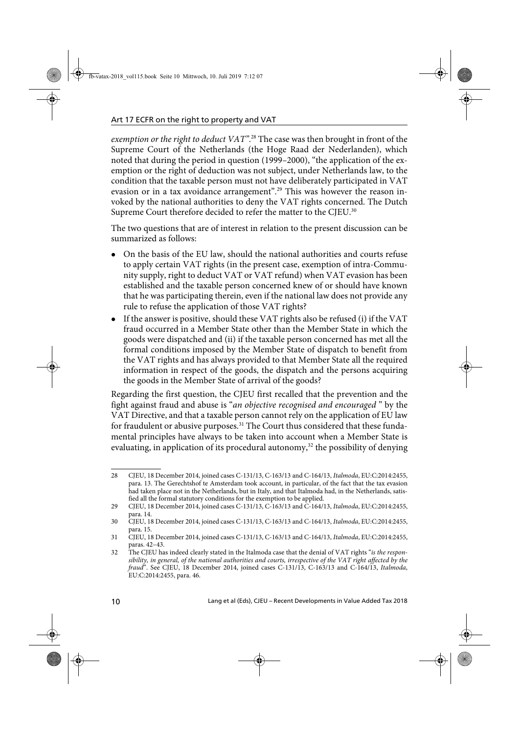exemption or the right to deduct VAT".<sup>28</sup> The case was then brought in front of the Supreme Court of the Netherlands (the Hoge Raad der Nederlanden), which noted that during the period in question (1999–2000), "the application of the exemption or the right of deduction was not subject, under Netherlands law, to the condition that the taxable person must not have deliberately participated in VAT evasion or in a tax avoidance arrangement".<sup>29</sup> This was however the reason invoked by the national authorities to deny the VAT rights concerned. The Dutch Supreme Court therefore decided to refer the matter to the CJEU.<sup>30</sup>

The two questions that are of interest in relation to the present discussion can be summarized as follows:

- On the basis of the EU law, should the national authorities and courts refuse to apply certain VAT rights (in the present case, exemption of intra-Community supply, right to deduct VAT or VAT refund) when VAT evasion has been established and the taxable person concerned knew of or should have known that he was participating therein, even if the national law does not provide any rule to refuse the application of those VAT rights?
- If the answer is positive, should these VAT rights also be refused (i) if the VAT fraud occurred in a Member State other than the Member State in which the goods were dispatched and (ii) if the taxable person concerned has met all the formal conditions imposed by the Member State of dispatch to benefit from the VAT rights and has always provided to that Member State all the required information in respect of the goods, the dispatch and the persons acquiring the goods in the Member State of arrival of the goods?

Regarding the first question, the CJEU first recalled that the prevention and the fight against fraud and abuse is "an objective recognised and encouraged " by the VAT Directive, and that a taxable person cannot rely on the application of EU law for fraudulent or abusive purposes.<sup>31</sup> The Court thus considered that these fundamental principles have always to be taken into account when a Member State is evaluating, in application of its procedural autonomy,<sup>32</sup> the possibility of denying

<sup>28</sup> CJEU, 18 December 2014, joined cases C-131/13, C-163/13 and C-164/13, Italmoda, EU:C:2014:2455, para. 13. The Gerechtshof te Amsterdam took account, in particular, of the fact that the tax evasion had taken place not in the Netherlands, but in Italy, and that Italmoda had, in the Netherlands, satisfied all the formal statutory conditions for the exemption to be applied.

<sup>29</sup> CJEU, 18 December 2014, joined cases C-131/13, C-163/13 and C-164/13, Italmoda, EU:C:2014:2455, para. 14.

<sup>30</sup> CJEU, 18 December 2014, joined cases C-131/13, C-163/13 and C-164/13, Italmoda, EU:C:2014:2455, para. 15.

<sup>31</sup> CJEU, 18 December 2014, joined cases C-131/13, C-163/13 and C-164/13, Italmoda, EU:C:2014:2455, paras. 42–43.

<sup>32</sup> The CJEU has indeed clearly stated in the Italmoda case that the denial of VAT rights "is the responsibility, in general, of the national authorities and courts, irrespective of the VAT right affected by the fraud". See CJEU, 18 December 2014, joined cases C-131/13, C-163/13 and C-164/13, Italmoda, EU:C:2014:2455, para. 46.